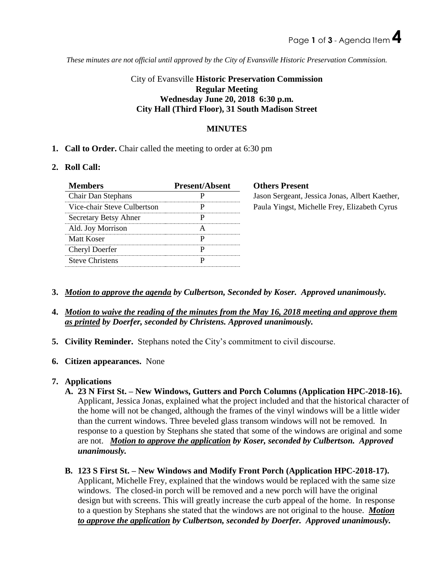*These minutes are not official until approved by the City of Evansville Historic Preservation Commission.*

### City of Evansville **Historic Preservation Commission Regular Meeting Wednesday June 20, 2018 6:30 p.m. City Hall (Third Floor), 31 South Madison Street**

#### **MINUTES**

**1. Call to Order.** Chair called the meeting to order at 6:30 pm

#### **2. Roll Call:**

| <b>Present/Absent</b> |
|-----------------------|
|                       |
|                       |
|                       |
|                       |
|                       |
|                       |
|                       |
|                       |

**Members** Present ason Sergeant, Jessica Jonas, Albert Kaether, aula Yingst, Michelle Frey, Elizabeth Cyrus

- **3.** *Motion to approve the agenda by Culbertson, Seconded by Koser. Approved unanimously.*
- **4.** *Motion to waive the reading of the minutes from the May 16, 2018 meeting and approve them as printed by Doerfer, seconded by Christens. Approved unanimously.*
- **5. Civility Reminder.** Stephans noted the City's commitment to civil discourse.
- **6. Citizen appearances.** None

### **7. Applications**

- **A. 23 N First St. – New Windows, Gutters and Porch Columns (Application HPC-2018-16).** Applicant, Jessica Jonas, explained what the project included and that the historical character of the home will not be changed, although the frames of the vinyl windows will be a little wider than the current windows. Three beveled glass transom windows will not be removed. In response to a question by Stephans she stated that some of the windows are original and some are not. *Motion to approve the application by Koser, seconded by Culbertson. Approved unanimously.*
- **B. 123 S First St. – New Windows and Modify Front Porch (Application HPC-2018-17).** Applicant, Michelle Frey, explained that the windows would be replaced with the same size windows. The closed-in porch will be removed and a new porch will have the original design but with screens. This will greatly increase the curb appeal of the home. In response to a question by Stephans she stated that the windows are not original to the house. *Motion to approve the application by Culbertson, seconded by Doerfer. Approved unanimously.*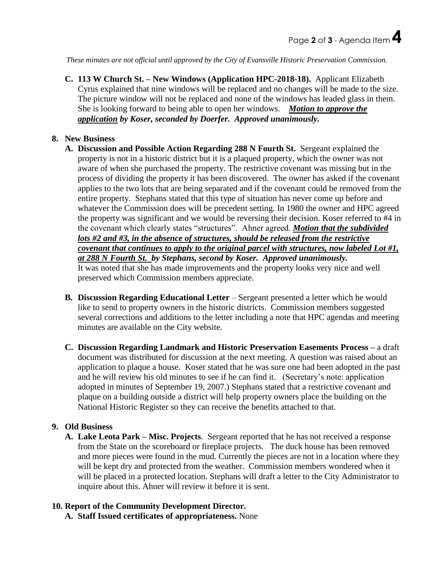*These minutes are not official until approved by the City of Evansville Historic Preservation Commission.*

**C. 113 W Church St. – New Windows (Application HPC-2018-18).** Applicant Elizabeth Cyrus explained that nine windows will be replaced and no changes will be made to the size. The picture window will not be replaced and none of the windows has leaded glass in them. She is looking forward to being able to open her windows. *Motion to approve the application by Koser, seconded by Doerfer. Approved unanimously.* 

#### **8. New Business**

- **A. Discussion and Possible Action Regarding 288 N Fourth St.** Sergeant explained the property is not in a historic district but it is a plaqued property, which the owner was not aware of when she purchased the property. The restrictive covenant was missing but in the process of dividing the property it has been discovered. The owner has asked if the covenant applies to the two lots that are being separated and if the covenant could be removed from the entire property. Stephans stated that this type of situation has never come up before and whatever the Commission does will be precedent setting. In 1980 the owner and HPC agreed the property was significant and we would be reversing their decision. Koser referred to #4 in the covenant which clearly states "structures". Ahner agreed. *Motion that the subdivided lots #2 and #3, in the absence of structures, should be released from the restrictive covenant that continues to apply to the original parcel with structures, now labeled Lot #1, at 288 N Fourth St. by Stephans, second by Koser. Approved unanimously.* It was noted that she has made improvements and the property looks very nice and well preserved which Commission members appreciate.
- **B. Discussion Regarding Educational Letter** Sergeant presented a letter which he would like to send to property owners in the historic districts. Commission members suggested several corrections and additions to the letter including a note that HPC agendas and meeting minutes are available on the City website.
- **C. Discussion Regarding Landmark and Historic Preservation Easements Process –** a draft document was distributed for discussion at the next meeting. A question was raised about an application to plaque a house. Koser stated that he was sure one had been adopted in the past and he will review his old minutes to see if he can find it. (Secretary's note: application adopted in minutes of September 19, 2007.) Stephans stated that a restrictive covenant and plaque on a building outside a district will help property owners place the building on the National Historic Register so they can receive the benefits attached to that.

#### **9. Old Business**

**A. Lake Leota Park – Misc. Projects**. Sergeant reported that he has not received a response from the State on the scoreboard or fireplace projects. The duck house has been removed and more pieces were found in the mud. Currently the pieces are not in a location where they will be kept dry and protected from the weather. Commission members wondered when it will be placed in a protected location. Stephans will draft a letter to the City Administrator to inquire about this. Ahner will review it before it is sent.

#### **10. Report of the Community Development Director.**

**A. Staff Issued certificates of appropriateness.** None